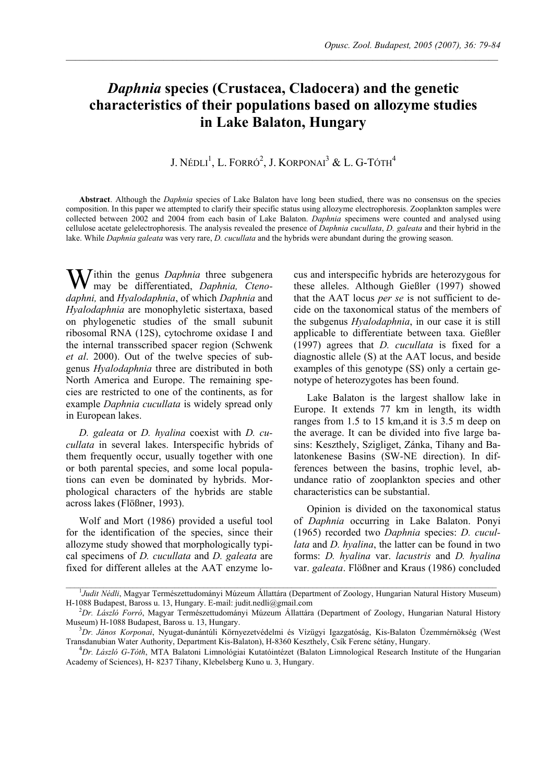# *Daphnia* **species (Crustacea, Cladocera) and the genetic characteristics of their populations based on allozyme studies in Lake Balaton, Hungary**

 $\mathcal{L}_\mathcal{L} = \mathcal{L}_\mathcal{L}$ 

# J. Nédli $^1$ , L. Forró $^2$ , J. Korponai $^3$  & L. G-Tóth $^4$

**Abstract**. Although the *Daphnia* species of Lake Balaton have long been studied, there was no consensus on the species composition. In this paper we attempted to clarify their specific status using allozyme electrophoresis. Zooplankton samples were collected between 2002 and 2004 from each basin of Lake Balaton. *Daphnia* specimens were counted and analysed using cellulose acetate gelelectrophoresis. The analysis revealed the presence of *Daphnia cucullata*, *D. galeata* and their hybrid in the lake. While *Daphnia galeata* was very rare, *D. cucullata* and the hybrids were abundant during the growing season.

Within the genus *Daphnia* three subgenera<br>may be differentiated, *Daphnia*, Ctenomay be differentiated, *Daphnia, Ctenodaphni,* and *Hyalodaphnia*, of which *Daphnia* and *Hyalodaphnia* are monophyletic sistertaxa, based on phylogenetic studies of the small subunit ribosomal RNA (12S), cytochrome oxidase I and the internal transscribed spacer region (Schwenk *et al*. 2000). Out of the twelve species of subgenus *Hyalodaphnia* three are distributed in both North America and Europe. The remaining species are restricted to one of the continents, as for example *Daphnia cucullata* is widely spread only in European lakes.

*D. galeata* or *D. hyalina* coexist with *D. cucullata* in several lakes. Interspecific hybrids of them frequently occur, usually together with one or both parental species, and some local populations can even be dominated by hybrids. Morphological characters of the hybrids are stable across lakes (Flößner, 1993).

Wolf and Mort (1986) provided a useful tool for the identification of the species, since their allozyme study showed that morphologically typical specimens of *D. cucullata* and *D. galeata* are fixed for different alleles at the AAT enzyme locus and interspecific hybrids are heterozygous for these alleles. Although Gießler (1997) showed that the AAT locus *per se* is not sufficient to decide on the taxonomical status of the members of the subgenus *Hyalodaphnia*, in our case it is still applicable to differentiate between taxa. Gießler (1997) agrees that *D. cucullata* is fixed for a diagnostic allele (S) at the AAT locus, and beside examples of this genotype (SS) only a certain genotype of heterozygotes has been found.

Lake Balaton is the largest shallow lake in Europe. It extends 77 km in length, its width ranges from 1.5 to 15 km,and it is 3.5 m deep on the average. It can be divided into five large basins: Keszthely, Szigliget, Zánka, Tihany and Balatonkenese Basins (SW-NE direction). In differences between the basins, trophic level, abundance ratio of zooplankton species and other characteristics can be substantial.

Opinion is divided on the taxonomical status of *Daphnia* occurring in Lake Balaton. Ponyi (1965) recorded two *Daphnia* species: *D. cucullata* and *D. hyalina*, the latter can be found in two forms: *D. hyalina* var. *lacustris* and *D. hyalina*  var. *galeata*. Flößner and Kraus (1986) concluded

<sup>&</sup>lt;sup>1</sup>Judit Nédli, Magyar Természettudományi Múzeum Állattára (Department of Zoology, Hungarian Natural History Museum) H-1088 Budapest, Baross u. 13, Hungary. E-mail: judit.nedli@gmail.com 2

*Dr. László Forró*, Magyar Természettudományi Múzeum Állattára (Department of Zoology, Hungarian Natural History Museum) H-1088 Budapest, Baross u. 13, Hungary.

*Dr. János Korponai*, Nyugat-dunántúli Környezetvédelmi és Vízügyi Igazgatóság, Kis-Balaton Üzemmérnökség (West Transdanubian Water Authority, Department Kis-Balaton), H-8360 Keszthely, Csík Ferenc sétány, Hungary. 4

*Dr. László G-Tóth*, MTA Balatoni Limnológiai Kutatóintézet (Balaton Limnological Research Institute of the Hungarian Academy of Sciences), H- 8237 Tihany, Klebelsberg Kuno u. 3, Hungary.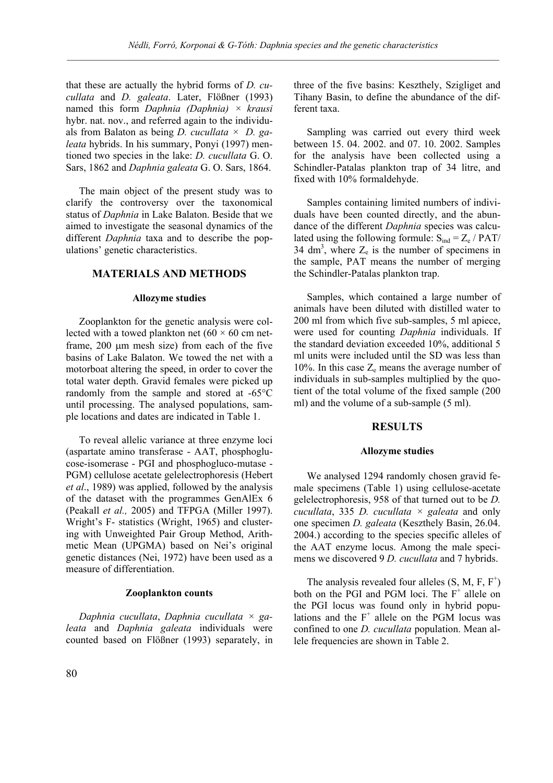that these are actually the hybrid forms of *D. cucullata* and *D. galeata*. Later, Flößner (1993) named this form *Daphnia (Daphnia) × krausi* hybr. nat. nov., and referred again to the individuals from Balaton as being *D. cucullata × D. galeata* hybrids. In his summary, Ponyi (1997) mentioned two species in the lake: *D. cucullata* G. O. Sars, 1862 and *Daphnia galeata* G. O. Sars, 1864.

The main object of the present study was to clarify the controversy over the taxonomical status of *Daphnia* in Lake Balaton. Beside that we aimed to investigate the seasonal dynamics of the different *Daphnia* taxa and to describe the populations' genetic characteristics.

# **MATERIALS AND METHODS**

#### **Allozyme studies**

Zooplankton for the genetic analysis were collected with a towed plankton net ( $60 \times 60$  cm netframe, 200 µm mesh size) from each of the five basins of Lake Balaton. We towed the net with a motorboat altering the speed, in order to cover the total water depth. Gravid females were picked up randomly from the sample and stored at -65°C until processing. The analysed populations, sample locations and dates are indicated in Table 1.

To reveal allelic variance at three enzyme loci (aspartate amino transferase - AAT, phosphoglucose-isomerase - PGI and phosphogluco-mutase - PGM) cellulose acetate gelelectrophoresis (Hebert *et al*., 1989) was applied, followed by the analysis of the dataset with the programmes GenAlEx 6 (Peakall *et al.,* 2005) and TFPGA (Miller 1997). Wright's F- statistics (Wright, 1965) and clustering with Unweighted Pair Group Method, Arithmetic Mean (UPGMA) based on Nei's original genetic distances (Nei, 1972) have been used as a measure of differentiation.

#### **Zooplankton counts**

*Daphnia cucullata*, *Daphnia cucullata × galeata* and *Daphnia galeata* individuals were counted based on Flößner (1993) separately, in three of the five basins: Keszthely, Szigliget and Tihany Basin, to define the abundance of the different taxa.

Sampling was carried out every third week between 15. 04. 2002. and 07. 10. 2002. Samples for the analysis have been collected using a Schindler-Patalas plankton trap of 34 litre, and fixed with 10% formaldehyde.

Samples containing limited numbers of individuals have been counted directly, and the abundance of the different *Daphnia* species was calculated using the following formule:  $S_{ind} = Z_e / PAT/$  $34 \text{ dm}^3$ , where  $Z_e$  is the number of specimens in the sample, PAT means the number of merging the Schindler-Patalas plankton trap.

Samples, which contained a large number of animals have been diluted with distilled water to 200 ml from which five sub-samples, 5 ml apiece, were used for counting *Daphnia* individuals. If the standard deviation exceeded 10%, additional 5 ml units were included until the SD was less than 10%. In this case  $Z_e$  means the average number of individuals in sub-samples multiplied by the quotient of the total volume of the fixed sample (200 ml) and the volume of a sub-sample (5 ml).

### **RESULTS**

#### **Allozyme studies**

We analysed 1294 randomly chosen gravid female specimens (Table 1) using cellulose-acetate gelelectrophoresis, 958 of that turned out to be *D. cucullata*, 335 *D. cucullata × galeata* and only one specimen *D. galeata* (Keszthely Basin, 26.04. 2004.) according to the species specific alleles of the AAT enzyme locus. Among the male specimens we discovered 9 *D. cucullata* and 7 hybrids.

The analysis revealed four alleles  $(S, M, F, F^+)$ both on the PGI and PGM loci. The F<sup>+</sup> allele on the PGI locus was found only in hybrid populations and the  $F^+$  allele on the PGM locus was confined to one *D. cucullata* population. Mean allele frequencies are shown in Table 2.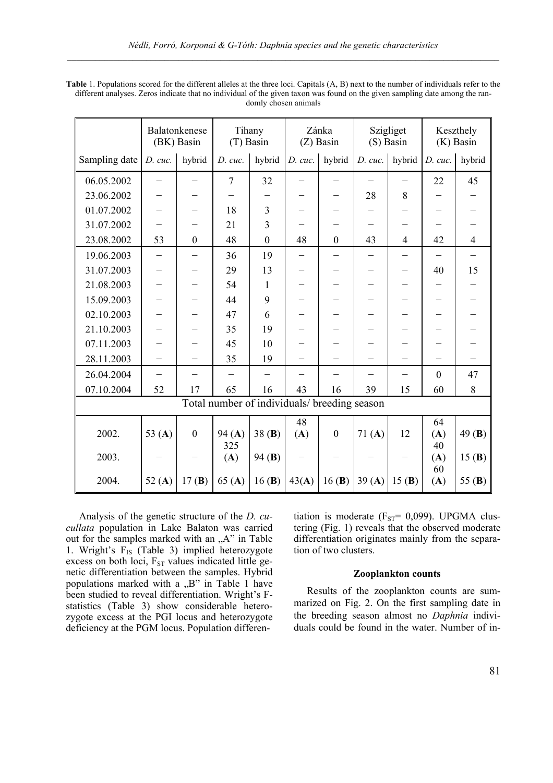| <b>Table</b> 1. Populations scored for the different alleles at the three loci. Capitals (A, B) next to the number of individuals refer to the |
|------------------------------------------------------------------------------------------------------------------------------------------------|
| different analyses. Zeros indicate that no individual of the given taxon was found on the given sampling date among the ran-                   |
| domly chosen animals                                                                                                                           |

|                                              |                          | Balatonkenese<br>(BK) Basin | Tihany<br>(T) Basin      |                  | Zánka<br>$(Z)$ Basin |                  | Szigliget<br>(S) Basin   |                          | Keszthely<br>$(K)$ Basin        |                          |
|----------------------------------------------|--------------------------|-----------------------------|--------------------------|------------------|----------------------|------------------|--------------------------|--------------------------|---------------------------------|--------------------------|
| Sampling date                                | D. cuc.                  | hybrid                      | D. cuc.                  | hybrid           | D. cuc.              | hybrid           | D. cuc.                  | hybrid                   | D. cuc.                         | hybrid                   |
| 06.05.2002                                   | $\overline{\phantom{0}}$ | $\equiv$                    | $\tau$                   | 32               |                      |                  | $\equiv$                 | $-$                      | 22                              | 45                       |
| 23.06.2002                                   |                          |                             | —                        |                  |                      |                  | 28                       | 8                        |                                 |                          |
| 01.07.2002                                   |                          |                             | 18                       | 3                |                      |                  |                          |                          | $\overbrace{\phantom{1232211}}$ |                          |
| 31.07.2002                                   |                          |                             | 21                       | 3                |                      |                  |                          |                          |                                 |                          |
| 23.08.2002                                   | 53                       | $\mathbf{0}$                | 48                       | $\boldsymbol{0}$ | 48                   | $\boldsymbol{0}$ | 43                       | $\overline{4}$           | 42                              | $\overline{4}$           |
| 19.06.2003                                   | $\overline{\phantom{0}}$ | $\overline{\phantom{0}}$    | 36                       | 19               |                      |                  | $\overline{\phantom{0}}$ | $\equiv$                 | $\equiv$                        | $\overline{\phantom{0}}$ |
| 31.07.2003                                   |                          |                             | 29                       | 13               |                      |                  |                          | $\overline{\phantom{0}}$ | 40                              | 15                       |
| 21.08.2003                                   |                          |                             | 54                       | 1                |                      |                  |                          |                          |                                 |                          |
| 15.09.2003                                   |                          |                             | 44                       | 9                |                      |                  |                          |                          |                                 |                          |
| 02.10.2003                                   |                          |                             | 47                       | 6                |                      |                  |                          |                          | $\overline{\phantom{0}}$        |                          |
| 21.10.2003                                   | $\overline{\phantom{0}}$ |                             | 35                       | 19               |                      |                  | —                        |                          | —                               |                          |
| 07.11.2003                                   |                          |                             | 45                       | 10               |                      |                  |                          |                          |                                 |                          |
| 28.11.2003                                   |                          |                             | 35                       | 19               |                      |                  |                          |                          |                                 |                          |
| 26.04.2004                                   | $\overline{\phantom{0}}$ | $\overline{\phantom{0}}$    | $\overline{\phantom{0}}$ |                  |                      |                  |                          | $\overline{\phantom{0}}$ | $\mathbf{0}$                    | 47                       |
| 07.10.2004                                   | 52                       | 17                          | 65                       | 16               | 43                   | 16               | 39                       | 15                       | 60                              | 8                        |
| Total number of individuals/ breeding season |                          |                             |                          |                  |                      |                  |                          |                          |                                 |                          |
|                                              |                          |                             |                          |                  | 48                   |                  |                          |                          | 64                              |                          |
| 2002.                                        | 53 $(A)$                 | $\mathbf{0}$                | 94(A)<br>325             | 38(B)            | (A)                  | $\mathbf{0}$     | 71(A)                    | 12                       | (A)<br>40                       | 49 $(B)$                 |
| 2003.                                        |                          |                             | (A)                      | 94(B)            |                      |                  |                          |                          | (A)                             | 15(B)                    |
| 2004.                                        | 52 $(A)$                 | 17(B)                       | 65(A)                    | 16(B)            | 43(A)                | 16(B)            | 39(A)                    | 15(B)                    | 60<br>(A)                       | 55 $(B)$                 |

Analysis of the genetic structure of the *D. cucullata* population in Lake Balaton was carried out for the samples marked with an "A" in Table 1. Wright's  $F_{IS}$  (Table 3) implied heterozygote excess on both loci,  $F_{ST}$  values indicated little genetic differentiation between the samples. Hybrid populations marked with a  $,B$ " in Table 1 have been studied to reveal differentiation. Wright's Fstatistics (Table 3) show considerable heterozygote excess at the PGI locus and heterozygote deficiency at the PGM locus. Population differentiation is moderate ( $F_{ST}$ = 0,099). UPGMA clustering (Fig. 1) reveals that the observed moderate differentiation originates mainly from the separation of two clusters.

#### **Zooplankton counts**

Results of the zooplankton counts are summarized on Fig. 2. On the first sampling date in the breeding season almost no *Daphnia* individuals could be found in the water. Number of in-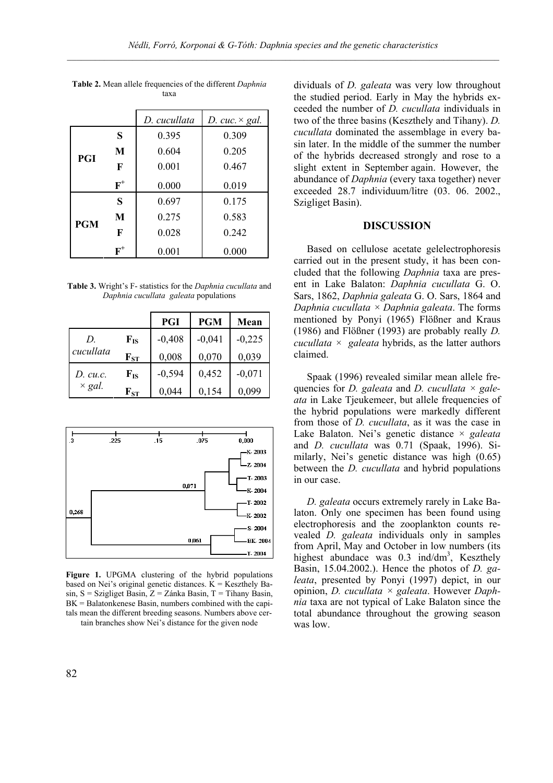|            |                | D. cucullata | D. cuc. $\times$ gal. |
|------------|----------------|--------------|-----------------------|
| PGI        | S              | 0.395        | 0.309                 |
|            | M              | 0.604        | 0.205                 |
|            | F              | 0.001        | 0.467                 |
|            | $F^+$          | 0.000        | 0.019                 |
|            | S              | 0.697        | 0.175                 |
| <b>PGM</b> | M              | 0.275        | 0.583                 |
|            | F              | 0.028        | 0.242                 |
|            | $\textbf{F}^+$ | 0.001        | 0.000                 |

**Table 2.** Mean allele frequencies of the different *Daphnia* taxa

**Table 3.** Wright's F- statistics for the *Daphnia cucullata* and *Daphnia cucullata galeata* populations

|               |                    | PGI      | <b>PGM</b> | Mean     |
|---------------|--------------------|----------|------------|----------|
| D.            | $F_{IS}$           | $-0,408$ | $-0,041$   | $-0,225$ |
| cucullata     | $\mathbf{F}_{ST}$  | 0,008    | 0,070      | 0,039    |
| D. cu.c.      | ${\bf F}_{\rm IS}$ | $-0,594$ | 0,452      | $-0,071$ |
| $\times gal.$ | ${\bf F_{ST}}$     | 0,044    | 0,154      | 0.099    |



**Figure 1.** UPGMA clustering of the hybrid populations based on Nei's original genetic distances.  $K = K$ eszthely Basin,  $S =$  Szigliget Basin,  $Z =$  Zánka Basin,  $T =$  Tihany Basin, BK = Balatonkenese Basin, numbers combined with the capitals mean the different breeding seasons. Numbers above certain branches show Nei's distance for the given node

dividuals of *D. galeata* was very low throughout the studied period. Early in May the hybrids exceeded the number of *D. cucullata* individuals in two of the three basins (Keszthely and Tihany). *D. cucullata* dominated the assemblage in every basin later. In the middle of the summer the number of the hybrids decreased strongly and rose to a slight extent in September again. However, the abundance of *Daphnia* (every taxa together) never exceeded 28.7 individuum/litre (03. 06. 2002., Szigliget Basin).

## **DISCUSSION**

Based on cellulose acetate gelelectrophoresis carried out in the present study, it has been concluded that the following *Daphnia* taxa are present in Lake Balaton: *Daphnia cucullata* G. O. Sars, 1862, *Daphnia galeata* G. O. Sars, 1864 and *Daphnia cucullata × Daphnia galeata*. The forms mentioned by Ponyi (1965) Flößner and Kraus (1986) and Flößner (1993) are probably really *D. cucullata × galeata* hybrids, as the latter authors claimed.

Spaak (1996) revealed similar mean allele frequencies for *D. galeata* and *D. cucullata × galeata* in Lake Tjeukemeer, but allele frequencies of the hybrid populations were markedly different from those of *D. cucullata*, as it was the case in Lake Balaton. Nei's genetic distance × *galeata* and *D. cucullata* was 0.71 (Spaak, 1996). Similarly, Nei's genetic distance was high (0.65) between the *D. cucullata* and hybrid populations in our case.

*D. galeata* occurs extremely rarely in Lake Balaton. Only one specimen has been found using electrophoresis and the zooplankton counts revealed *D. galeata* individuals only in samples from April, May and October in low numbers (its highest abundace was 0.3 ind/dm<sup>3</sup>, Keszthely Basin, 15.04.2002.). Hence the photos of *D. galeata*, presented by Ponyi (1997) depict, in our opinion, *D. cucullata × galeata*. However *Daphnia* taxa are not typical of Lake Balaton since the total abundance throughout the growing season was low.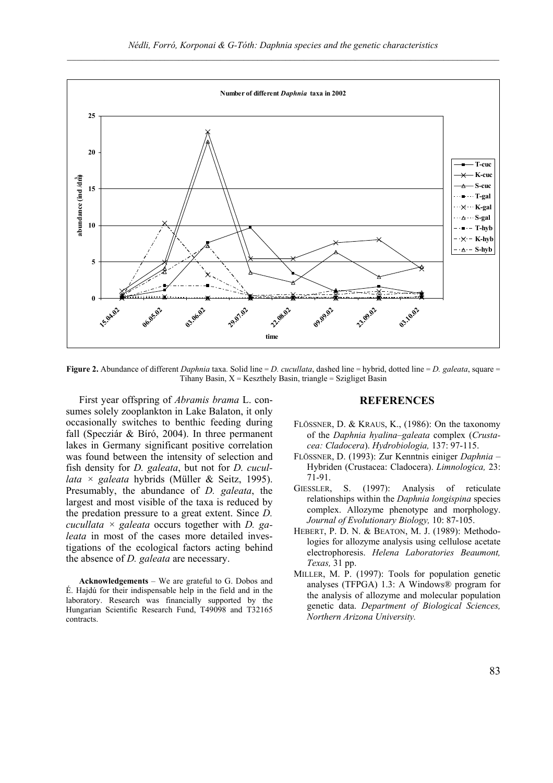

**Figure 2.** Abundance of different *Daphnia* taxa. Solid line = *D. cucullata*, dashed line = hybrid, dotted line = *D. galeata*, square = Tihany Basin,  $X =$  Keszthely Basin, triangle = Szigliget Basin

First year offspring of *Abramis brama* L. consumes solely zooplankton in Lake Balaton, it only occasionally switches to benthic feeding during fall (Specziár & Bíró, 2004). In three permanent lakes in Germany significant positive correlation was found between the intensity of selection and fish density for *D. galeata*, but not for *D. cucullata × galeata* hybrids (Müller & Seitz, 1995). Presumably, the abundance of *D. galeata*, the largest and most visible of the taxa is reduced by the predation pressure to a great extent. Since *D. cucullata × galeata* occurs together with *D. galeata* in most of the cases more detailed investigations of the ecological factors acting behind the absence of *D. galeata* are necessary.

**Acknowledgements** – We are grateful to G. Dobos and É. Hajdú for their indispensable help in the field and in the laboratory. Research was financially supported by the Hungarian Scientific Research Fund, T49098 and T32165 contracts.

# **REFERENCES**

- FLÖSSNER, D. & KRAUS, K., (1986): On the taxonomy of the *Daphnia hyalina–galeata* complex (*Crustacea: Cladocera*). *Hydrobiologia,* 137: 97-115.
- FLÖSSNER, D. (1993): Zur Kenntnis einiger *Daphnia* Hybriden (Crustacea: Cladocera). *Limnologica,* 23: 71-91.
- GIESSLER, S. (1997): Analysis of reticulate relationships within the *Daphnia longispina* species complex. Allozyme phenotype and morphology. *Journal of Evolutionary Biology,* 10: 87-105.
- HEBERT, P. D. N. & BEATON, M. J. (1989): Methodologies for allozyme analysis using cellulose acetate electrophoresis. *Helena Laboratories Beaumont, Texas,* 31 pp.
- MILLER, M. P. (1997): Tools for population genetic analyses (TFPGA) 1.3: A Windows® program for the analysis of allozyme and molecular population genetic data. *Department of Biological Sciences, Northern Arizona University.*